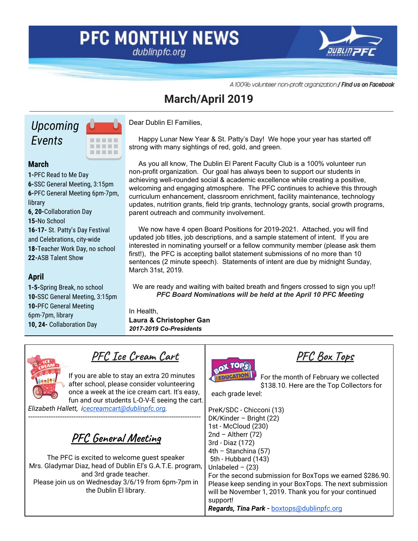### **PFC MONTHLY NEWS** dublinpfc.org



A 100% volunteer non-profit organization / Find us on Facebook

### **March/April 2019**

# *Upcoming Events*



### **March**

**1-**PFC Read to Me Day **6-**SSC General Meeting, 3:15pm **6-**PFC General Meeting 6pm-7pm, library **6, 20-**Collaboration Day **15-**No School **16-17-** St. Patty's Day Festival and Celebrations, city-wide **18-**Teacher Work Day, no school **22-**ASB Talent Show

### **April**

**1-5-**Spring Break, no school **10-**SSC General Meeting, 3:15pm **10-**PFC General Meeting 6pm-7pm, library **10, 24-** Collaboration Day

Dear Dublin El Families,

Happy Lunar New Year & St. Patty's Day! We hope your year has started off strong with many sightings of red, gold, and green.

As you all know, The Dublin El Parent Faculty Club is a 100% volunteer run non-profit organization. Our goal has always been to support our students in achieving well-rounded social & academic excellence while creating a positive, welcoming and engaging atmosphere. The PFC continues to achieve this through curriculum enhancement, classroom enrichment, facility maintenance, technology updates, nutrition grants, field trip grants, technology grants, social growth programs, parent outreach and community involvement.

We now have 4 open Board Positions for 2019-2021. Attached, you will find updated job titles, job descriptions, and a sample statement of intent. If you are interested in nominating yourself or a fellow community member (please ask them first!), the PFC is accepting ballot statement submissions of no more than 10 sentences (2 minute speech). Statements of intent are due by midnight Sunday, March 31st, 2019.

We are ready and waiting with baited breath and fingers crossed to sign you up!! *PFC Board Nominations will be held at the April 10 PFC Meeting*

In Health,

**Laura & Christopher Gan** *2017-2019 Co-Presidents*

**PFC Ice Cream Cart**

If you are able to stay an extra 20 minutes after school, please consider volunteering once a week at the ice cream cart. It's easy, fun and our students L-O-V-E seeing the cart.

*Elizabeth Hallett, i[cecreamcart@dublinpfc.org.](mailto:icecreamcart@dublinpfc.org)*

**PFC General Meeting**

----------------------------------------------------------------------------

The PFC is excited to welcome guest speaker Mrs. Gladymar Diaz, head of Dublin El's G.A.T.E. program, and 3rd grade teacher. Please join us on Wednesday 3/6/19 from 6pm-7pm in the Dublin El library.



**PFC Box Tops**

For the month of February we collected \$138.10. Here are the Top Collectors for

each grade level:

PreK/SDC - Chicconi (13) DK/Kinder – Bright (22) 1st - McCloud (230)  $2nd -$ Altherr (72) 3rd - Diaz (172) 4th – Stanchina (57) 5th - Hubbard (143) Unlabeled  $-$  (23) For the second submission for BoxTops we earned \$286.90. Please keep sending in your BoxTops. The next submission will be November 1, 2019. Thank you for your continued support! *Regards, Tina Park -* [boxtops@dublinpfc.org](mailto:boxtops@dublinpfc.org)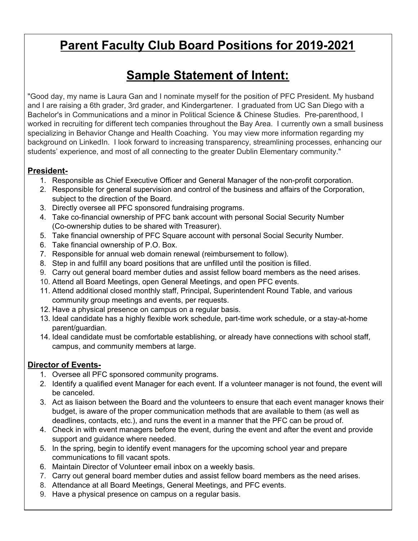# **Parent Faculty Club Board Positions for 2019-2021**

# **Sample Statement of Intent:**

"Good day, my name is Laura Gan and I nominate myself for the position of PFC President. My husband and I are raising a 6th grader, 3rd grader, and Kindergartener. I graduated from UC San Diego with a Bachelor's in Communications and a minor in Political Science & Chinese Studies. Pre-parenthood, I worked in recruiting for different tech companies throughout the Bay Area. I currently own a small business specializing in Behavior Change and Health Coaching. You may view more information regarding my background on LinkedIn. I look forward to increasing transparency, streamlining processes, enhancing our students' experience, and most of all connecting to the greater Dublin Elementary community."

### **President-**

- 1. Responsible as Chief Executive Officer and General Manager of the non-profit corporation.
- 2. Responsible for general supervision and control of the business and affairs of the Corporation, subject to the direction of the Board.
- 3. Directly oversee all PFC sponsored fundraising programs.
- 4. Take co-financial ownership of PFC bank account with personal Social Security Number (Co-ownership duties to be shared with Treasurer).
- 5. Take financial ownership of PFC Square account with personal Social Security Number.
- 6. Take financial ownership of P.O. Box.
- 7. Responsible for annual web domain renewal (reimbursement to follow).
- 8. Step in and fulfill any board positions that are unfilled until the position is filled.
- 9. Carry out general board member duties and assist fellow board members as the need arises.
- 10. Attend all Board Meetings, open General Meetings, and open PFC events.
- 11. Attend additional closed monthly staff, Principal, Superintendent Round Table, and various community group meetings and events, per requests.
- 12. Have a physical presence on campus on a regular basis.
- 13. Ideal candidate has a highly flexible work schedule, part-time work schedule, or a stay-at-home parent/guardian.
- 14. Ideal candidate must be comfortable establishing, or already have connections with school staff, campus, and community members at large.

### **Director of Events-**

- 1. Oversee all PFC sponsored community programs.
- 2. Identify a qualified event Manager for each event. If a volunteer manager is not found, the event will be canceled.
- 3. Act as liaison between the Board and the volunteers to ensure that each event manager knows their budget, is aware of the proper communication methods that are available to them (as well as deadlines, contacts, etc.), and runs the event in a manner that the PFC can be proud of.
- 4. Check in with event managers before the event, during the event and after the event and provide support and guidance where needed.
- 5. In the spring, begin to identify event managers for the upcoming school year and prepare communications to fill vacant spots.
- 6. Maintain Director of Volunteer email inbox on a weekly basis.
- 7. Carry out general board member duties and assist fellow board members as the need arises.
- 8. Attendance at all Board Meetings, General Meetings, and PFC events.
- 9. Have a physical presence on campus on a regular basis.